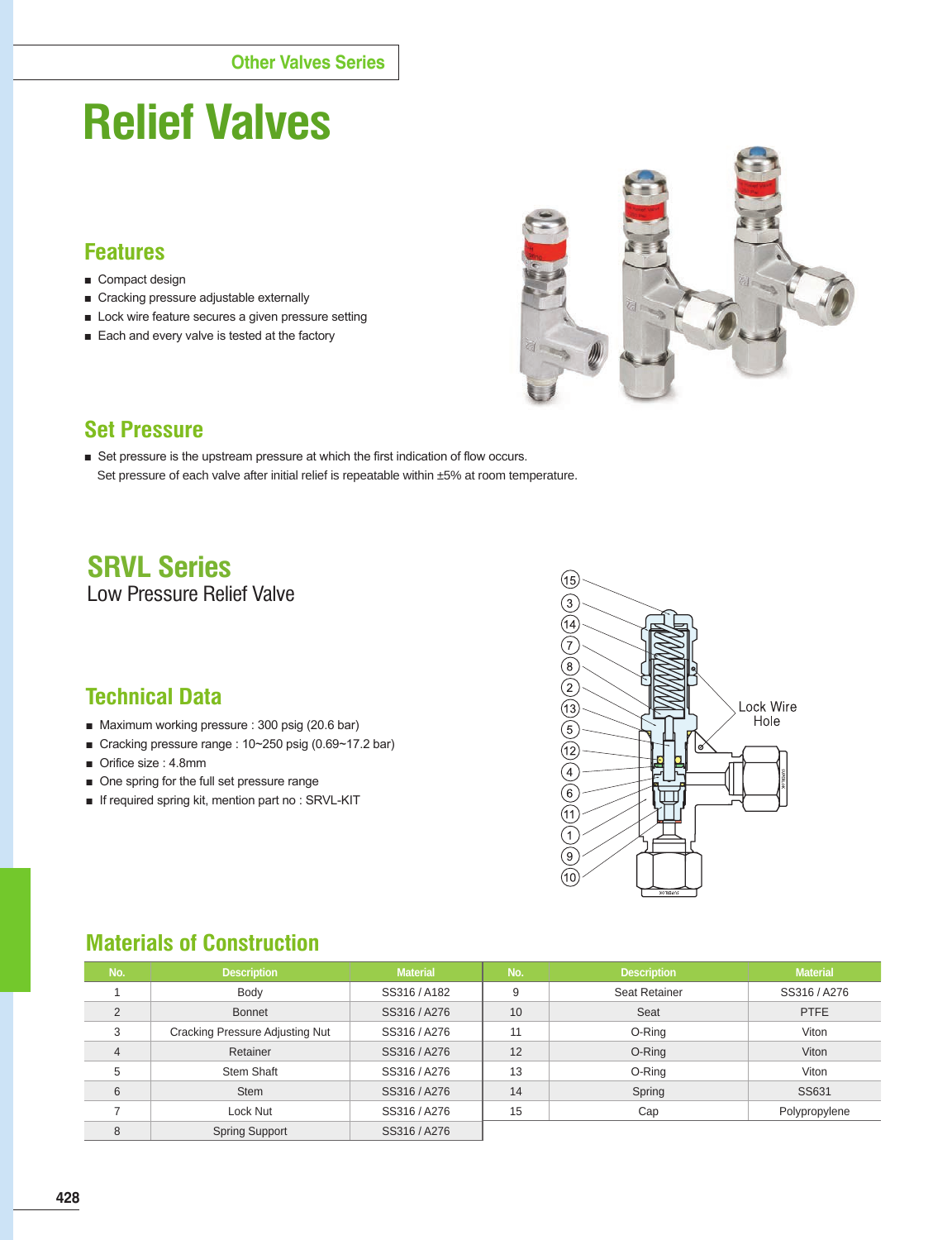# **Relief Valves**

### **Features**

- Compact design
- Cracking pressure adjustable externally
- Lock wire feature secures a given pressure setting
- Each and every valve is tested at the factory



#### **Set Pressure**

■ Set pressure is the upstream pressure at which the first indication of flow occurs. Set pressure of each valve after initial relief is repeatable within ±5% at room temperature.

# **SRVL Series**

Low Pressure Relief Valve

# **Technical Data**

- Maximum working pressure : 300 psig (20.6 bar)
- Cracking pressure range : 10~250 psig (0.69~17.2 bar)
- Orifice size : 4.8mm
- One spring for the full set pressure range
- If required spring kit, mention part no : SRVL-KIT



## **Materials of Construction**

| No.            | <b>Description</b>                     | <b>Material</b> | No. | <b>Description</b> | <b>Material</b> |
|----------------|----------------------------------------|-----------------|-----|--------------------|-----------------|
|                | Body                                   | SS316/A182      | 9   | Seat Retainer      | SS316 / A276    |
| 2              | <b>Bonnet</b>                          | SS316 / A276    | 10  | Seat               | <b>PTFE</b>     |
| 3              | <b>Cracking Pressure Adjusting Nut</b> | SS316 / A276    | 11  | O-Ring             | Viton           |
| $\overline{4}$ | Retainer                               | SS316 / A276    | 12  | O-Ring             | Viton           |
| 5              | Stem Shaft                             | SS316 / A276    | 13  | O-Ring             | Viton           |
| 6              | <b>Stem</b>                            | SS316 / A276    | 14  | Spring             | SS631           |
|                | Lock Nut                               | SS316 / A276    | 15  | Cap                | Polypropylene   |
| 8              | <b>Spring Support</b>                  | SS316 / A276    |     |                    |                 |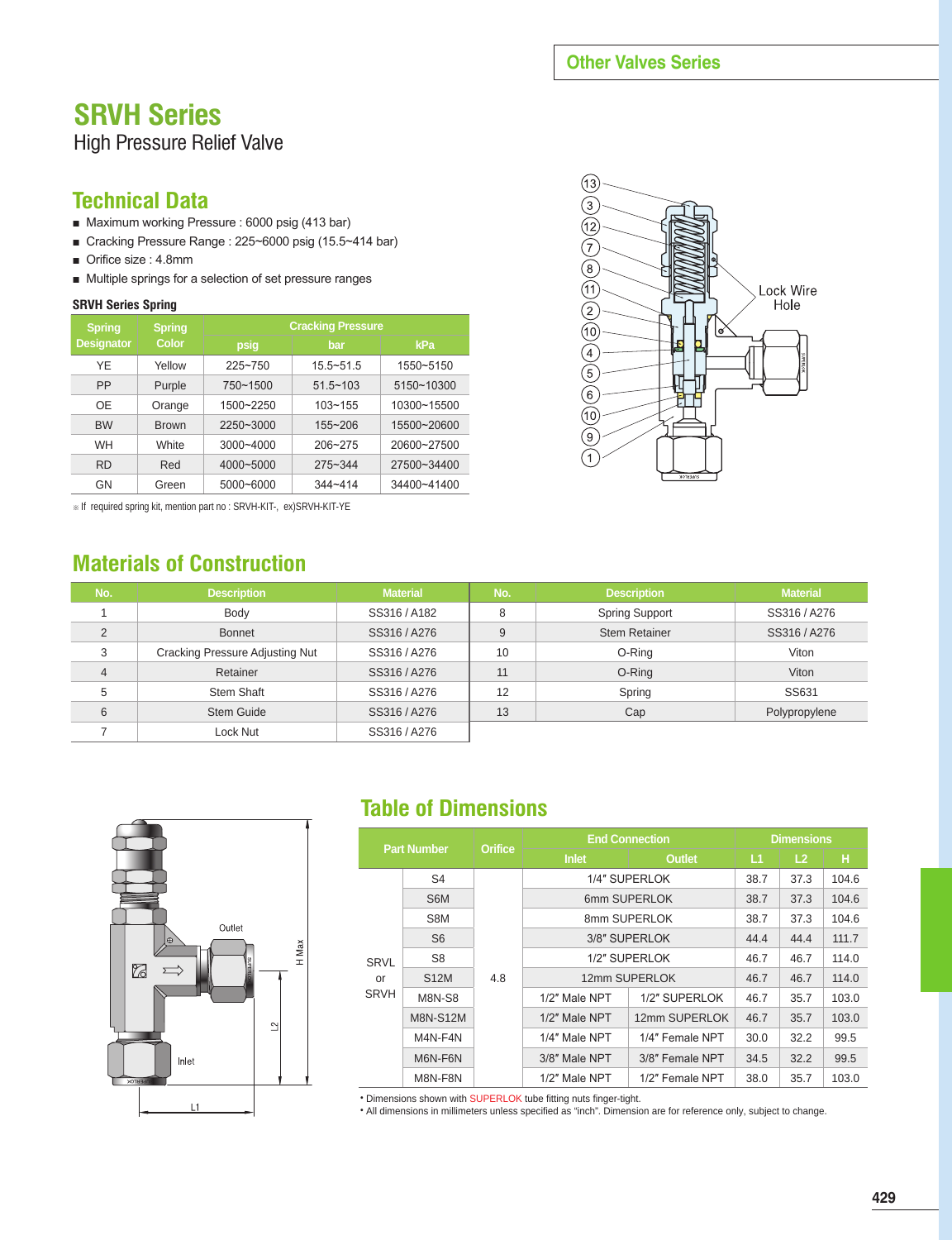#### **Other Valves Series**

# **SRVH Series**

#### High Pressure Relief Valve

#### **Technical Data**

- Maximum working Pressure : 6000 psig (413 bar)
- Cracking Pressure Range : 225~6000 psig (15.5~414 bar)
- Orifice size : 4.8mm
- Multiple springs for a selection of set pressure ranges

#### **SRVH Series Spring**

| <b>Spring</b>     | <b>Spring</b><br>Color | <b>Cracking Pressure</b> |               |             |  |  |
|-------------------|------------------------|--------------------------|---------------|-------------|--|--|
| <b>Designator</b> |                        | psig                     | bar           | kPa         |  |  |
| YF                | Yellow                 | $225 - 750$              | $15.5 - 51.5$ | 1550~5150   |  |  |
| PP                | Purple                 | 750~1500                 | $51.5 - 103$  | 5150~10300  |  |  |
| OF                | Orange                 | 1500~2250                | $103 - 155$   | 10300~15500 |  |  |
| <b>BW</b>         | <b>Brown</b>           | $2250 - 3000$            | $155 - 206$   | 15500~20600 |  |  |
| <b>WH</b>         | <b>White</b>           | $3000 - 4000$            | 206~275       | 20600~27500 |  |  |
| <b>RD</b>         | Red                    | 4000~5000                | $275 - 344$   | 27500~34400 |  |  |
| GN                | Green                  | 5000~6000                | $344 - 414$   | 34400~41400 |  |  |

※ If required spring kit, mention part no : SRVH-KIT-, ex)SRVH-KIT-YE

## **Materials of Construction**



| No.            | <b>Description</b>              | <b>Material</b> | No. | <b>Description</b>    | <b>Material</b> |
|----------------|---------------------------------|-----------------|-----|-----------------------|-----------------|
|                | Body                            | SS316/A182      | 8   | <b>Spring Support</b> | SS316 / A276    |
| $\overline{2}$ | <b>Bonnet</b>                   | SS316/A276      | 9   | <b>Stem Retainer</b>  | SS316 / A276    |
| 3              | Cracking Pressure Adjusting Nut | SS316 / A276    | 10  | O-Ring                | Viton           |
| 4              | Retainer                        | SS316 / A276    | 11  | O-Ring                | Viton           |
| 5              | Stem Shaft                      | SS316 / A276    | 12  | Spring                | SS631           |
| 6              | <b>Stem Guide</b>               | SS316/A276      | 13  | Cap                   | Polypropylene   |
|                | Lock Nut                        | SS316 / A276    |     |                       |                 |



# **Table of Dimensions**

| <b>Part Number</b>               |                 | <b>Orifice</b> | <b>End Connection</b>            | <b>Dimensions</b> |      |                |       |
|----------------------------------|-----------------|----------------|----------------------------------|-------------------|------|----------------|-------|
|                                  |                 |                | <b>Inlet</b>                     | <b>Outlet</b>     | L1   | L <sub>2</sub> | Ή     |
| <b>SRVL</b><br>or<br><b>SRVH</b> | S <sub>4</sub>  |                | 1/4" SUPERLOK                    | 38.7              | 37.3 | 104.6          |       |
|                                  | S6M             |                | 6mm SUPERLOK                     | 38.7              | 37.3 | 104.6          |       |
|                                  | S8M             |                | 8mm SUPERLOK                     |                   |      | 37.3           | 104.6 |
|                                  | S <sub>6</sub>  |                | 3/8" SUPERLOK                    |                   |      | 44.4           | 111.7 |
|                                  | S <sub>8</sub>  |                | 1/2" SUPERLOK                    | 46.7              | 46.7 | 114.0          |       |
|                                  | <b>S12M</b>     | 4.8            | 12mm SUPERLOK                    | 46.7              | 46.7 | 114.0          |       |
|                                  | <b>M8N-S8</b>   |                | 1/2" Male NPT                    | 1/2" SUPERLOK     | 46.7 | 35.7           | 103.0 |
|                                  | <b>M8N-S12M</b> |                | 1/2" Male NPT                    | 12mm SUPERLOK     | 46.7 | 35.7           | 103.0 |
|                                  | M4N-F4N         |                | 1/4" Male NPT<br>1/4" Female NPT |                   | 30.0 | 32.2           | 99.5  |
|                                  | M6N-F6N         |                | 3/8" Male NPT<br>3/8" Female NPT |                   | 34.5 | 32.2           | 99.5  |
|                                  | M8N-F8N         |                | 1/2" Male NPT<br>1/2" Female NPT |                   | 38.0 | 35.7           | 103.0 |

• Dimensions shown with SUPERLOK tube fitting nuts finger-tight.

• All dimensions in millimeters unless specified as "inch". Dimension are for reference only, subject to change.